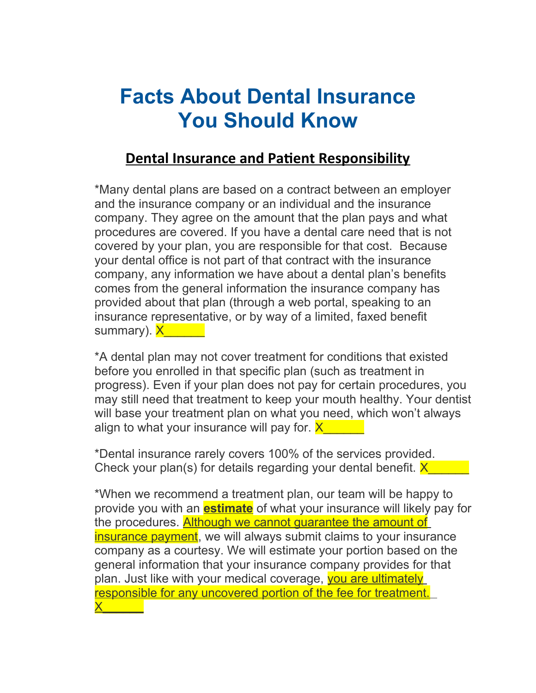## **Facts About Dental Insurance You Should Know**

## **Dental Insurance and Patient Responsibility**

\*Many dental plans are based on a contract between an employer and the insurance company or an individual and the insurance company. They agree on the amount that the plan pays and what procedures are covered. If you have a dental care need that is not covered by your plan, you are responsible for that cost. Because your dental office is not part of that contract with the insurance company, any information we have about a dental plan's benefits comes from the general information the insurance company has provided about that plan (through a web portal, speaking to an insurance representative, or by way of a limited, faxed benefit summary). <mark>X</mark>\_\_\_\_\_\_

\*A dental plan may not cover treatment for conditions that existed before you enrolled in that specific plan (such as treatment in progress). Even if your plan does not pay for certain procedures, you may still need that treatment to keep your mouth healthy. Your dentist will base your treatment plan on what you need, which won't always align to what your insurance will pay for.  $X$ 

\*Dental insurance rarely covers 100% of the services provided. Check your plan(s) for details regarding your dental benefit.  $X$ 

\*When we recommend a treatment plan, our team will be happy to provide you with an **estimate** of what your insurance will likely pay for the procedures. **Although we cannot quarantee the amount of** insurance payment, we will always submit claims to your insurance company as a courtesy. We will estimate your portion based on the general information that your insurance company provides for that plan. Just like with your medical coverage, vou are ultimately responsible for any uncovered portion of the fee for treatment.  $\times$   $\times$